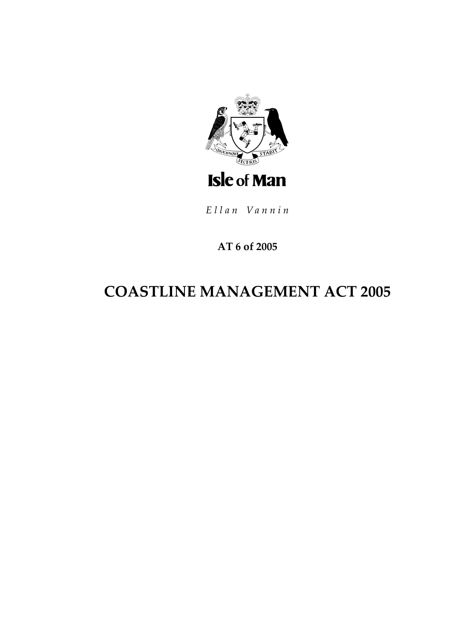

Ellan Vannin

AT 6 of 2005

# **COASTLINE MANAGEMENT ACT 2005**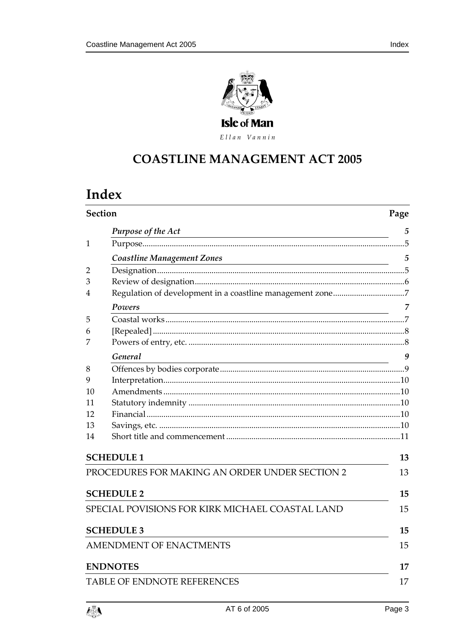

Ellan Vannin

## **COASTLINE MANAGEMENT ACT 2005**

## Index

| <b>Section</b>                                 |                                                                                                                                             | Page |
|------------------------------------------------|---------------------------------------------------------------------------------------------------------------------------------------------|------|
|                                                | Purpose of the Act<br><u> 1989 - Johann Barn, mars ann an t-Amhain Aonaich an t-Aonaich an t-Aonaich an t-Aonaich an t-Aonaich an t-Aon</u> | 5    |
| 1                                              |                                                                                                                                             |      |
|                                                | <b>Coastline Management Zones</b>                                                                                                           | 5    |
| $\overline{2}$                                 |                                                                                                                                             |      |
| З                                              |                                                                                                                                             |      |
| 4                                              | Regulation of development in a coastline management zone7                                                                                   |      |
|                                                | Powers<br><u> 1980 - Johann Barn, mars ann an t-Amhain Aonaich an t-Aonaich an t-Aonaich ann an t-Aonaich ann an t-Aonaich</u>              | 7    |
| 5                                              |                                                                                                                                             |      |
| 6                                              |                                                                                                                                             |      |
| 7                                              |                                                                                                                                             |      |
|                                                | General<br><u> 1989 - Johann Barnett, fransk politiker (d. 1989)</u>                                                                        | 9    |
| 8                                              |                                                                                                                                             |      |
| 9                                              |                                                                                                                                             |      |
| 10                                             |                                                                                                                                             |      |
| 11                                             |                                                                                                                                             |      |
| 12                                             |                                                                                                                                             |      |
| 13                                             |                                                                                                                                             |      |
| 14                                             |                                                                                                                                             |      |
| <b>SCHEDULE 1</b>                              |                                                                                                                                             | 13   |
| PROCEDURES FOR MAKING AN ORDER UNDER SECTION 2 |                                                                                                                                             | 13   |
| <b>SCHEDULE 2</b>                              |                                                                                                                                             | 15   |
|                                                | SPECIAL POVISIONS FOR KIRK MICHAEL COASTAL LAND                                                                                             | 15   |
| <b>SCHEDULE 3</b>                              |                                                                                                                                             | 15   |
| <b>AMENDMENT OF ENACTMENTS</b>                 |                                                                                                                                             | 15   |
| <b>ENDNOTES</b><br>17                          |                                                                                                                                             |      |
| <b>TABLE OF ENDNOTE REFERENCES</b>             |                                                                                                                                             | 17   |

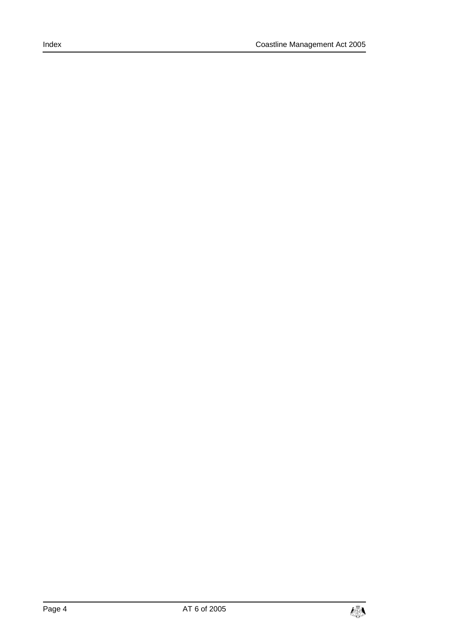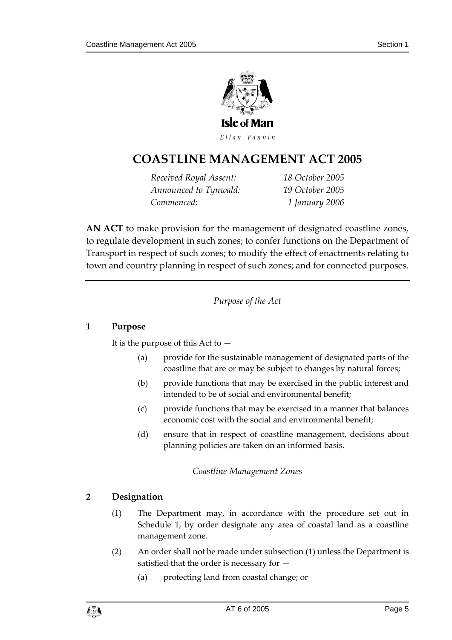

Ellan Vannin

## **COASTLINE MANAGEMENT ACT 2005**

*Received Royal Assent: 18 October 2005 Announced to Tynwald: 19 October 2005 Commenced: 1 January 2006*

**AN ACT** to make provision for the management of designated coastline zones, to regulate development in such zones; to confer functions on the Department of Transport in respect of such zones; to modify the effect of enactments relating to town and country planning in respect of such zones; and for connected purposes.

#### *Purpose of the Act*

#### <span id="page-4-1"></span><span id="page-4-0"></span>**1 Purpose**

It is the purpose of this Act to  $-$ 

- (a) provide for the sustainable management of designated parts of the coastline that are or may be subject to changes by natural forces;
- (b) provide functions that may be exercised in the public interest and intended to be of social and environmental benefit;
- (c) provide functions that may be exercised in a manner that balances economic cost with the social and environmental benefit;
- (d) ensure that in respect of coastline management, decisions about planning policies are taken on an informed basis.

#### *Coastline Management Zones*

#### <span id="page-4-3"></span><span id="page-4-2"></span>**2 Designation**

- (1) The Department may, in accordance with the procedure set out in Schedule 1, by order designate any area of coastal land as a coastline management zone.
- (2) An order shall not be made under subsection (1) unless the Department is satisfied that the order is necessary for —
	- (a) protecting land from coastal change; or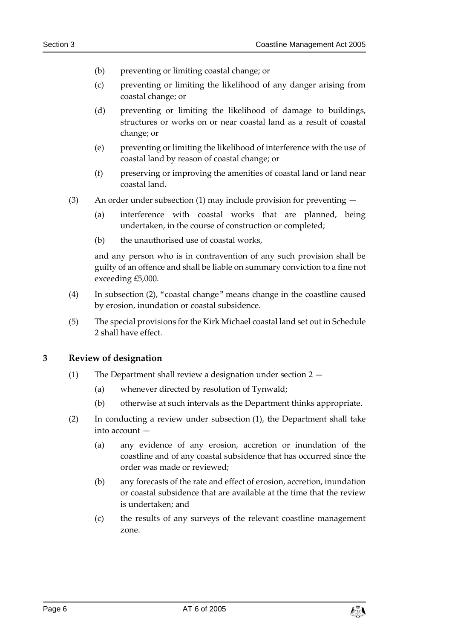- (b) preventing or limiting coastal change; or
- (c) preventing or limiting the likelihood of any danger arising from coastal change; or
- (d) preventing or limiting the likelihood of damage to buildings, structures or works on or near coastal land as a result of coastal change; or
- (e) preventing or limiting the likelihood of interference with the use of coastal land by reason of coastal change; or
- (f) preserving or improving the amenities of coastal land or land near coastal land.
- (3) An order under subsection (1) may include provision for preventing
	- (a) interference with coastal works that are planned, being undertaken, in the course of construction or completed;
	- (b) the unauthorised use of coastal works,

and any person who is in contravention of any such provision shall be guilty of an offence and shall be liable on summary conviction to a fine not exceeding £5,000.

- (4) In subsection (2), "coastal change" means change in the coastline caused by erosion, inundation or coastal subsidence.
- (5) The special provisions for the Kirk Michael coastal land set out in Schedule 2 shall have effect.

#### <span id="page-5-0"></span>**3 Review of designation**

- (1) The Department shall review a designation under section 2
	- (a) whenever directed by resolution of Tynwald;
	- (b) otherwise at such intervals as the Department thinks appropriate.
- (2) In conducting a review under subsection (1), the Department shall take into account —
	- (a) any evidence of any erosion, accretion or inundation of the coastline and of any coastal subsidence that has occurred since the order was made or reviewed;
	- (b) any forecasts of the rate and effect of erosion, accretion, inundation or coastal subsidence that are available at the time that the review is undertaken; and
	- (c) the results of any surveys of the relevant coastline management zone.

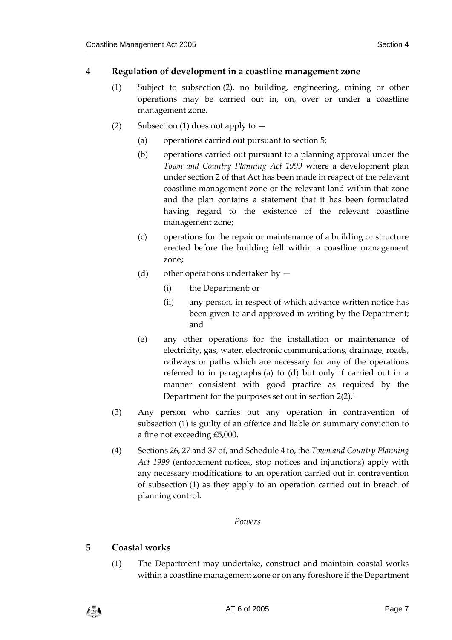#### <span id="page-6-0"></span>**4 Regulation of development in a coastline management zone**

- (1) Subject to subsection (2), no building, engineering, mining or other operations may be carried out in, on, over or under a coastline management zone.
- (2) Subsection (1) does not apply to  $-$ 
	- (a) operations carried out pursuant to section 5;
	- (b) operations carried out pursuant to a planning approval under the *Town and Country Planning Act 1999* where a development plan under section 2 of that Act has been made in respect of the relevant coastline management zone or the relevant land within that zone and the plan contains a statement that it has been formulated having regard to the existence of the relevant coastline management zone;
	- (c) operations for the repair or maintenance of a building or structure erected before the building fell within a coastline management zone;
	- (d) other operations undertaken by
		- (i) the Department; or
		- (ii) any person, in respect of which advance written notice has been given to and approved in writing by the Department; and
	- (e) any other operations for the installation or maintenance of electricity, gas, water, electronic communications, drainage, roads, railways or paths which are necessary for any of the operations referred to in paragraphs (a) to (d) but only if carried out in a manner consistent with good practice as required by the Department for the purposes set out in section 2(2).**<sup>1</sup>**
- (3) Any person who carries out any operation in contravention of subsection (1) is guilty of an offence and liable on summary conviction to a fine not exceeding £5,000.
- (4) Sections 26, 27 and 37 of, and Schedule 4 to, the *Town and Country Planning Act 1999* (enforcement notices, stop notices and injunctions) apply with any necessary modifications to an operation carried out in contravention of subsection (1) as they apply to an operation carried out in breach of planning control.

#### *Powers*

#### <span id="page-6-2"></span><span id="page-6-1"></span>**5 Coastal works**

(1) The Department may undertake, construct and maintain coastal works within a coastline management zone or on any foreshore if the Department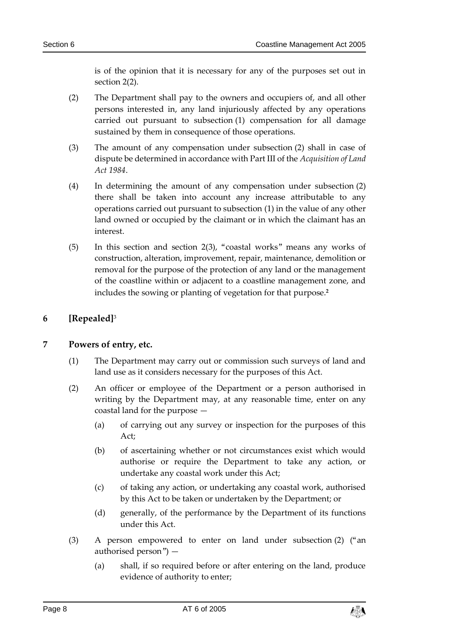is of the opinion that it is necessary for any of the purposes set out in section 2(2).

- (2) The Department shall pay to the owners and occupiers of, and all other persons interested in, any land injuriously affected by any operations carried out pursuant to subsection (1) compensation for all damage sustained by them in consequence of those operations.
- (3) The amount of any compensation under subsection (2) shall in case of dispute be determined in accordance with Part III of the *Acquisition of Land Act 1984*.
- (4) In determining the amount of any compensation under subsection (2) there shall be taken into account any increase attributable to any operations carried out pursuant to subsection (1) in the value of any other land owned or occupied by the claimant or in which the claimant has an interest.
- (5) In this section and section 2(3), "coastal works" means any works of construction, alteration, improvement, repair, maintenance, demolition or removal for the purpose of the protection of any land or the management of the coastline within or adjacent to a coastline management zone, and includes the sowing or planting of vegetation for that purpose.**<sup>2</sup>**

### <span id="page-7-0"></span>**6 [Repealed]**<sup>3</sup>

#### <span id="page-7-1"></span>**7 Powers of entry, etc.**

- (1) The Department may carry out or commission such surveys of land and land use as it considers necessary for the purposes of this Act.
- (2) An officer or employee of the Department or a person authorised in writing by the Department may, at any reasonable time, enter on any coastal land for the purpose —
	- (a) of carrying out any survey or inspection for the purposes of this Act;
	- (b) of ascertaining whether or not circumstances exist which would authorise or require the Department to take any action, or undertake any coastal work under this Act;
	- (c) of taking any action, or undertaking any coastal work, authorised by this Act to be taken or undertaken by the Department; or
	- (d) generally, of the performance by the Department of its functions under this Act.
- (3) A person empowered to enter on land under subsection (2) ("an authorised person") —
	- (a) shall, if so required before or after entering on the land, produce evidence of authority to enter;

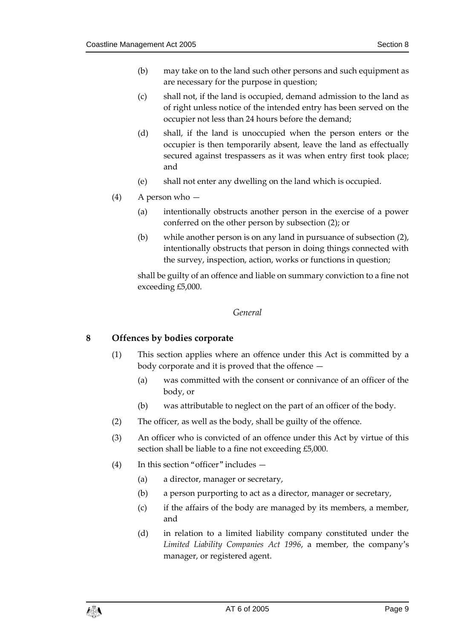- (b) may take on to the land such other persons and such equipment as are necessary for the purpose in question;
- (c) shall not, if the land is occupied, demand admission to the land as of right unless notice of the intended entry has been served on the occupier not less than 24 hours before the demand;
- (d) shall, if the land is unoccupied when the person enters or the occupier is then temporarily absent, leave the land as effectually secured against trespassers as it was when entry first took place; and
- (e) shall not enter any dwelling on the land which is occupied.
- (4) A person who
	- (a) intentionally obstructs another person in the exercise of a power conferred on the other person by subsection (2); or
	- (b) while another person is on any land in pursuance of subsection (2), intentionally obstructs that person in doing things connected with the survey, inspection, action, works or functions in question;

shall be guilty of an offence and liable on summary conviction to a fine not exceeding £5,000.

#### *General*

#### <span id="page-8-1"></span><span id="page-8-0"></span>**8 Offences by bodies corporate**

- (1) This section applies where an offence under this Act is committed by a body corporate and it is proved that the offence —
	- (a) was committed with the consent or connivance of an officer of the body, or
	- (b) was attributable to neglect on the part of an officer of the body.
- (2) The officer, as well as the body, shall be guilty of the offence.
- (3) An officer who is convicted of an offence under this Act by virtue of this section shall be liable to a fine not exceeding £5,000.
- (4) In this section "officer" includes
	- (a) a director, manager or secretary,
	- (b) a person purporting to act as a director, manager or secretary,
	- (c) if the affairs of the body are managed by its members, a member, and
	- (d) in relation to a limited liability company constituted under the *Limited Liability Companies Act 1996*, a member, the company's manager, or registered agent.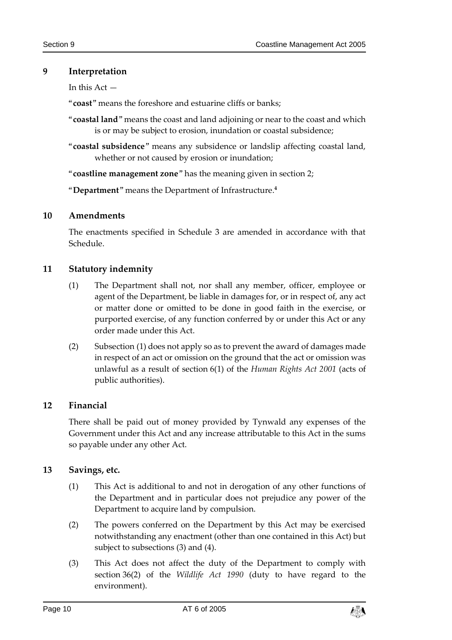#### <span id="page-9-0"></span>**9 Interpretation**

In this  $Act -$ 

"**coast**" means the foreshore and estuarine cliffs or banks;

"**coastal land**" means the coast and land adjoining or near to the coast and which is or may be subject to erosion, inundation or coastal subsidence;

"**coastal subsidence**" means any subsidence or landslip affecting coastal land, whether or not caused by erosion or inundation;

"**coastline management zone**" has the meaning given in section 2;

"**Department**" means the Department of Infrastructure. **4**

#### <span id="page-9-1"></span>**10 Amendments**

The enactments specified in Schedule 3 are amended in accordance with that Schedule.

#### <span id="page-9-2"></span>**11 Statutory indemnity**

- (1) The Department shall not, nor shall any member, officer, employee or agent of the Department, be liable in damages for, or in respect of, any act or matter done or omitted to be done in good faith in the exercise, or purported exercise, of any function conferred by or under this Act or any order made under this Act.
- (2) Subsection (1) does not apply so as to prevent the award of damages made in respect of an act or omission on the ground that the act or omission was unlawful as a result of section 6(1) of the *Human Rights Act 2001* (acts of public authorities).

#### <span id="page-9-3"></span>**12 Financial**

There shall be paid out of money provided by Tynwald any expenses of the Government under this Act and any increase attributable to this Act in the sums so payable under any other Act.

#### <span id="page-9-4"></span>**13 Savings, etc.**

- (1) This Act is additional to and not in derogation of any other functions of the Department and in particular does not prejudice any power of the Department to acquire land by compulsion.
- (2) The powers conferred on the Department by this Act may be exercised notwithstanding any enactment (other than one contained in this Act) but subject to subsections (3) and (4).
- (3) This Act does not affect the duty of the Department to comply with section 36(2) of the *Wildlife Act 1990* (duty to have regard to the environment).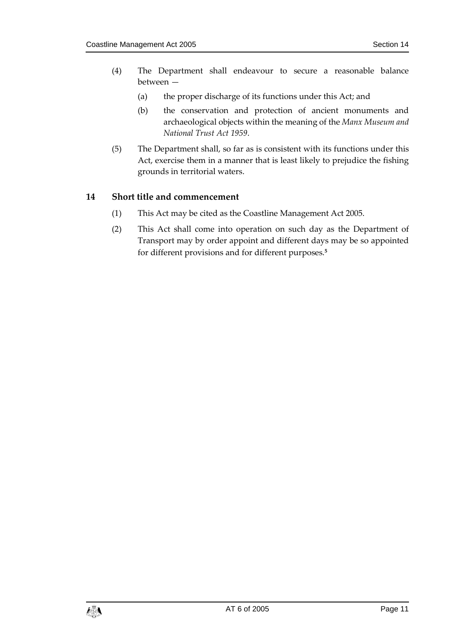- (4) The Department shall endeavour to secure a reasonable balance between —
	- (a) the proper discharge of its functions under this Act; and
	- (b) the conservation and protection of ancient monuments and archaeological objects within the meaning of the *Manx Museum and National Trust Act 1959*.
- (5) The Department shall, so far as is consistent with its functions under this Act, exercise them in a manner that is least likely to prejudice the fishing grounds in territorial waters.

#### <span id="page-10-0"></span>**14 Short title and commencement**

- (1) This Act may be cited as the Coastline Management Act 2005.
- (2) This Act shall come into operation on such day as the Department of Transport may by order appoint and different days may be so appointed for different provisions and for different purposes.**5**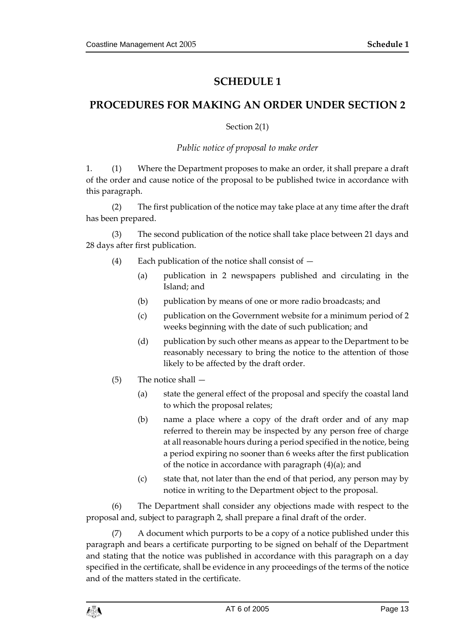## **SCHEDULE 1**

## <span id="page-12-1"></span><span id="page-12-0"></span>**PROCEDURES FOR MAKING AN ORDER UNDER SECTION 2**

#### Section 2(1)

#### *Public notice of proposal to make order*

1. (1) Where the Department proposes to make an order, it shall prepare a draft of the order and cause notice of the proposal to be published twice in accordance with this paragraph.

(2) The first publication of the notice may take place at any time after the draft has been prepared.

(3) The second publication of the notice shall take place between 21 days and 28 days after first publication.

- (4) Each publication of the notice shall consist of  $-$ 
	- (a) publication in 2 newspapers published and circulating in the Island; and
	- (b) publication by means of one or more radio broadcasts; and
	- (c) publication on the Government website for a minimum period of 2 weeks beginning with the date of such publication; and
	- (d) publication by such other means as appear to the Department to be reasonably necessary to bring the notice to the attention of those likely to be affected by the draft order.
- (5) The notice shall
	- (a) state the general effect of the proposal and specify the coastal land to which the proposal relates;
	- (b) name a place where a copy of the draft order and of any map referred to therein may be inspected by any person free of charge at all reasonable hours during a period specified in the notice, being a period expiring no sooner than 6 weeks after the first publication of the notice in accordance with paragraph (4)(a); and
	- (c) state that, not later than the end of that period, any person may by notice in writing to the Department object to the proposal.

(6) The Department shall consider any objections made with respect to the proposal and, subject to paragraph 2, shall prepare a final draft of the order.

(7) A document which purports to be a copy of a notice published under this paragraph and bears a certificate purporting to be signed on behalf of the Department and stating that the notice was published in accordance with this paragraph on a day specified in the certificate, shall be evidence in any proceedings of the terms of the notice and of the matters stated in the certificate.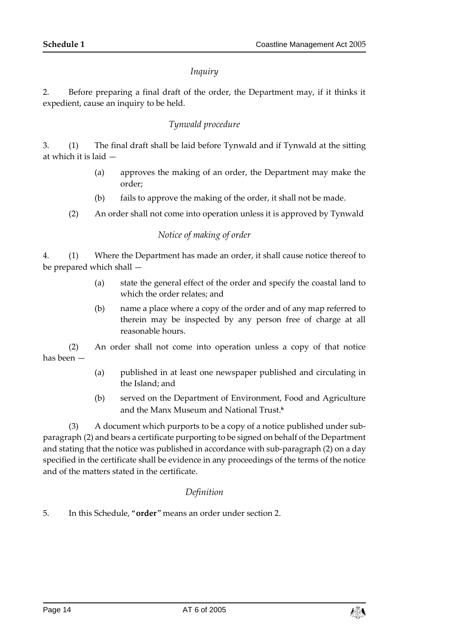#### *Inquiry*

2. Before preparing a final draft of the order, the Department may, if it thinks it expedient, cause an inquiry to be held.

#### *Tynwald procedure*

3. (1) The final draft shall be laid before Tynwald and if Tynwald at the sitting at which it is laid —

- (a) approves the making of an order, the Department may make the order;
- (b) fails to approve the making of the order, it shall not be made.
- (2) An order shall not come into operation unless it is approved by Tynwald

#### *Notice of making of order*

4. (1) Where the Department has made an order, it shall cause notice thereof to be prepared which shall —

- (a) state the general effect of the order and specify the coastal land to which the order relates; and
- (b) name a place where a copy of the order and of any map referred to therein may be inspected by any person free of charge at all reasonable hours.

(2) An order shall not come into operation unless a copy of that notice has been —

- (a) published in at least one newspaper published and circulating in the Island; and
- (b) served on the Department of Environment, Food and Agriculture and the Manx Museum and National Trust.**<sup>6</sup>**

(3) A document which purports to be a copy of a notice published under subparagraph (2) and bears a certificate purporting to be signed on behalf of the Department and stating that the notice was published in accordance with sub-paragraph (2) on a day specified in the certificate shall be evidence in any proceedings of the terms of the notice and of the matters stated in the certificate.

#### *Definition*

5. In this Schedule, "**order**" means an order under section 2.

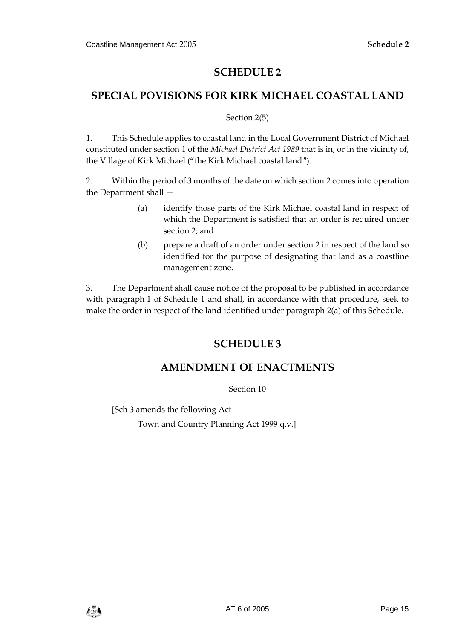## **SCHEDULE 2**

## <span id="page-14-1"></span><span id="page-14-0"></span>**SPECIAL POVISIONS FOR KIRK MICHAEL COASTAL LAND**

Section 2(5)

1. This Schedule applies to coastal land in the Local Government District of Michael constituted under section 1 of the *Michael District Act 1989* that is in, or in the vicinity of, the Village of Kirk Michael ("the Kirk Michael coastal land").

2. Within the period of 3 months of the date on which section 2 comes into operation the Department shall —

- (a) identify those parts of the Kirk Michael coastal land in respect of which the Department is satisfied that an order is required under section 2; and
- (b) prepare a draft of an order under section 2 in respect of the land so identified for the purpose of designating that land as a coastline management zone.

<span id="page-14-2"></span>3. The Department shall cause notice of the proposal to be published in accordance with paragraph 1 of Schedule 1 and shall, in accordance with that procedure, seek to make the order in respect of the land identified under paragraph 2(a) of this Schedule.

## **SCHEDULE 3**

## **AMENDMENT OF ENACTMENTS**

Section 10

<span id="page-14-3"></span>[Sch 3 amends the following Act —

Town and Country Planning Act 1999 q.v.]